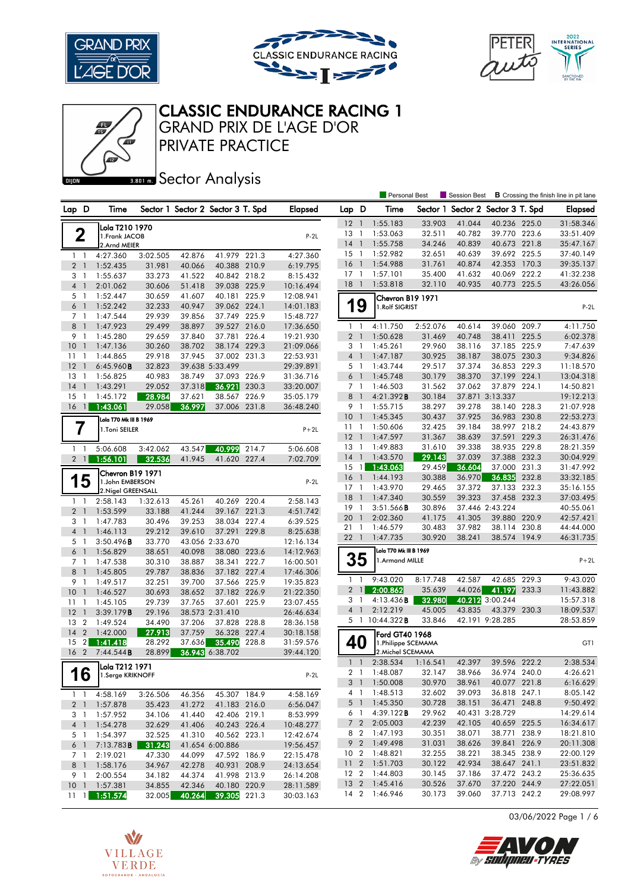

心





## CLASSIC ENDURANCE RACING 1

PRIVATE PRACTICE GRAND PRIX DE L'AGE D'OR

**BROTH** Sector Analysis

|                 |                |                                     |          |                                   |                 |       |                |                 |                | Personal Best          |          | Session Best             |                 | <b>B</b> Crossing the finish line in pit lane |                |
|-----------------|----------------|-------------------------------------|----------|-----------------------------------|-----------------|-------|----------------|-----------------|----------------|------------------------|----------|--------------------------|-----------------|-----------------------------------------------|----------------|
| Lap D           |                | Time                                |          | Sector 1 Sector 2 Sector 3 T. Spd |                 |       | <b>Elapsed</b> | Lap D           |                | Time                   | Sector 1 | Sector 2 Sector 3 T. Spd |                 |                                               | <b>Elapsed</b> |
|                 |                |                                     |          |                                   |                 |       |                | $12-1$          |                | 1:55.183               | 33.903   | 41.044                   | 40.236 225.0    |                                               | 31:58.346      |
| 2               |                | Lola T210 1970<br>1. Frank JACOB    |          |                                   |                 |       | $P-2L$         | 13              | $\overline{1}$ | 1:53.063               | 32.511   | 40.782                   | 39.770 223.6    |                                               | 33:51.409      |
|                 |                | 2.Arnd MEIER                        |          |                                   |                 |       |                | 14              | $\overline{1}$ | 1:55.758               | 34.246   | 40.839                   | 40.673 221.8    |                                               | 35:47.167      |
| $1\quad$        |                | 4:27.360                            | 3:02.505 | 42.876                            | 41.979 221.3    |       | 4:27.360       | 15              | $\overline{1}$ | 1:52.982               | 32.651   | 40.639                   | 39.692 225.5    |                                               | 37:40.149      |
| 2 <sub>1</sub>  |                | 1:52.435                            | 31.981   | 40.066                            | 40.388 210.9    |       | 6:19.795       | 16              | $\overline{1}$ | 1:54.988               | 31.761   | 40.874                   | 42.353 170.3    |                                               | 39:35.137      |
| 3 1             |                | 1:55.637                            | 33.273   | 41.522                            | 40.842 218.2    |       | 8:15.432       | $17-1$          |                | 1:57.101               | 35.400   | 41.632                   | 40.069 222.2    |                                               | 41:32.238      |
| 4 1             |                | 2:01.062                            | 30.606   | 51.418                            | 39.038 225.9    |       | 10:16.494      | 18              | $\overline{1}$ | 1:53.818               | 32.110   | 40.935                   | 40.773 225.5    |                                               | 43:26.056      |
| 5 1             |                | 1:52.447                            | 30.659   | 41.607                            | 40.181 225.9    |       | 12:08.941      |                 |                | Chevron B19 1971       |          |                          |                 |                                               |                |
| 6 1             |                | 1:52.242                            | 32.233   | 40.947                            | 39.062 224.1    |       | 14:01.183      |                 | 19             | 1. Rolf SIGRIST        |          |                          |                 |                                               | $P-2L$         |
| 7 1             |                | 1:47.544                            | 29.939   | 39.856                            | 37.749 225.9    |       | 15:48.727      |                 |                |                        |          |                          |                 |                                               |                |
| 8 1             |                | 1:47.923                            | 29.499   | 38.897                            | 39.527 216.0    |       | 17:36.650      | 1 <sup>1</sup>  |                | 4:11.750               | 2:52.076 | 40.614                   | 39.060 209.7    |                                               | 4:11.750       |
| 9               | $\overline{1}$ | 1:45.280                            | 29.659   | 37.840                            | 37.781          | 226.4 | 19:21.930      | 2 <sub>1</sub>  |                | 1:50.628               | 31.469   | 40.748                   | 38.411          | 225.5                                         | 6:02.378       |
| 10              | $\overline{1}$ | 1:47.136                            | 30.260   | 38.702                            | 38.174 229.3    |       | 21:09.066      | 3 <sub>1</sub>  |                | 1:45.261               | 29.960   | 38.116                   | 37.185 225.9    |                                               | 7:47.639       |
| 11              | -1             | 1:44.865                            | 29.918   | 37.945                            | 37.002 231.3    |       | 22:53.931      | 4 <sup>1</sup>  |                | 1:47.187               | 30.925   | 38.187                   | 38.075          | 230.3                                         | 9:34.826       |
| 12              | $\overline{1}$ | 6:45.960B                           | 32.823   |                                   | 39.638 5:33.499 |       | 29:39.891      | 5 <sub>1</sub>  |                | 1:43.744               | 29.517   | 37.374                   | 36.853 229.3    |                                               | 11:18.570      |
| 13              | -1             | 1:56.825                            | 40.983   | 38.749                            | 37.093 226.9    |       | 31:36.716      | 6               | $\overline{1}$ | 1:45.748               | 30.179   | 38.370                   | 37.199          | 224.1                                         | 13:04.318      |
| 14              | $\mathbf{1}$   | 1:43.291                            | 29.052   | 37.318                            | 36.921          | 230.3 | 33:20.007      | 7 <sub>1</sub>  |                | 1:46.503               | 31.562   | 37.062                   | 37.879 224.1    |                                               | 14:50.821      |
| 15              | -1             | 1:45.172                            | 28.984   | 37.621                            | 38.567          | 226.9 | 35:05.179      | 8               | $\overline{1}$ | 4:21.392B              | 30.184   |                          | 37.871 3:13.337 |                                               | 19:12.213      |
| 16              | $\overline{1}$ | 1:43.061                            | 29.058   | 36.997                            | 37.006 231.8    |       | 36:48.240      | 9 1             |                | 1:55.715               | 38.297   | 39.278                   | 38.140 228.3    |                                               | 21:07.928      |
|                 |                | Lola T70 Mk III B 1969              |          |                                   |                 |       |                | 10 <sup>°</sup> | $\overline{1}$ | 1:45.345               | 30.437   | 37.925                   | 36.983 230.8    |                                               | 22:53.273      |
| 7               |                | 1.Toni SEILER                       |          |                                   |                 |       | $P+2L$         | 11 1            |                | 1:50.606               | 32.425   | 39.184                   | 38.997          | 218.2                                         | 24:43.879      |
|                 |                |                                     |          |                                   |                 |       |                | 12              | $\overline{1}$ | 1:47.597               | 31.367   | 38.639                   | 37.591 229.3    |                                               | 26:31.476      |
| $1\quad$        |                | 5:06.608                            | 3:42.062 | 43.547                            | 40.999          | 214.7 | 5:06.608       | 13              | $\overline{1}$ | 1:49.883               | 31.610   | 39.338                   | 38.935 229.8    |                                               | 28:21.359      |
| 2 <sub>1</sub>  |                | 1:56.101                            | 32.536   | 41.945                            | 41.620          | 227.4 | 7:02.709       | 14              | $\mathbf{1}$   | 1:43.570               | 29.143   | 37.039                   | 37.388 232.3    |                                               | 30:04.929      |
|                 |                |                                     |          |                                   |                 |       |                | $15-1$          |                | 1:43.063               | 29.459   | 36.604                   | 37.000 231.3    |                                               | 31:47.992      |
| 1               | 5              | Chevron B19 1971<br>1.John EMBERSON |          |                                   |                 |       | $P-2L$         | 16              | $\overline{1}$ | 1:44.193               | 30.388   | 36.970                   | 36.835          | 232.8                                         | 33:32.185      |
|                 |                | 2. Nigel GREENSALL                  |          |                                   |                 |       |                | $17-1$          |                | 1:43.970               | 29.465   | 37.372                   | 37.133 232.3    |                                               | 35:16.155      |
| $1\quad$        |                | 2:58.143                            | 1:32.613 | 45.261                            | 40.269 220.4    |       | 2:58.143       | 18              | $\mathbf{1}$   | 1:47.340               | 30.559   | 39.323                   | 37.458 232.3    |                                               | 37:03.495      |
| 2 <sub>1</sub>  |                | 1:53.599                            | 33.188   | 41.244                            | 39.167 221.3    |       | 4:51.742       | 19              | $\overline{1}$ | $3:51.566$ <b>B</b>    | 30.896   |                          | 37.446 2:43.224 |                                               | 40:55.061      |
| 3               | $\overline{1}$ | 1:47.783                            | 30.496   | 39.253                            | 38.034 227.4    |       | 6:39.525       | 20              | $\overline{1}$ | 2:02.360               | 41.175   | 41.305                   | 39.880 220.9    |                                               | 42:57.421      |
| 41              |                | 1:46.113                            | 29.212   | 39.610                            | 37.291 229.8    |       | 8:25.638       | 21 1            |                | 1:46.579               | 30.483   | 37.982                   | 38.114          | 230.8                                         | 44:44.000      |
| 5               | $\overline{1}$ | 3:50.496B                           | 33.770   |                                   | 43.056 2:33.670 |       | 12:16.134      | 22 1            |                | 1:47.735               | 30.920   | 38.241                   | 38.574 194.9    |                                               | 46:31.735      |
| 6 1             |                | 1:56.829                            | 38.651   | 40.098                            | 38.080 223.6    |       | 14:12.963      |                 |                | Lola T70 Mk III B 1969 |          |                          |                 |                                               |                |
| 7 <sub>1</sub>  |                | 1:47.538                            | 30.310   | 38.887                            | 38.341          | 222.7 | 16:00.501      |                 | 35             | 1.Armand MILLE         |          |                          |                 |                                               | $P+2L$         |
| 8               | $\overline{1}$ | 1:45.805                            | 29.787   | 38.836                            | 37.182 227.4    |       | 17:46.306      |                 |                |                        |          |                          |                 |                                               |                |
| 9 1             |                | 1:49.517                            | 32.251   | 39.700                            | 37.566 225.9    |       | 19:35.823      | 1 <sup>1</sup>  |                | 9:43.020               | 8:17.748 | 42.587                   | 42.685 229.3    |                                               | 9:43.020       |
| 10              | $\overline{1}$ | 1:46.527                            | 30.693   | 38.652                            | 37.182 226.9    |       | 21:22.350      |                 | 2 <sub>1</sub> | 2:00.862               | 35.639   | 44.026                   | 41.197 233.3    |                                               | 11:43.882      |
| 11              | -1             | 1:45.105                            | 29.739   | 37.765                            | 37.601 225.9    |       | 23:07.455      | 3               | -1             | $4:13.436$ <b>B</b>    | 32.980   |                          | 40.212 3:00.244 |                                               | 15:57.318      |
| 12              | $\mathbf{1}$   | 3:39.179B                           | 29.196   |                                   | 38.573 2:31.410 |       | 26:46.634      | $\overline{4}$  | $\mathbf{1}$   | 2:12.219               | 45.005   | 43.835                   | 43.379 230.3    |                                               | 18:09.537      |
| 13              | $\overline{2}$ | 1:49.524                            | 34.490   | 37.206                            | 37.828 228.8    |       | 28:36.158      |                 |                | 5 1 10:44.322 <b>B</b> | 33.846   |                          | 42.191 9:28.285 |                                               | 28:53.859      |
| 14              | $\overline{2}$ | 1:42.000                            | 27.913   | 37.759                            | 36.328 227.4    |       | 30:18.158      |                 |                | Ford GT40 1968         |          |                          |                 |                                               |                |
| 15              | $\overline{2}$ | 1:41.418                            | 28.292   | 37.636                            | 35.490          | 228.8 | 31:59.576      | 40              |                | 1. Philippe SCEMAMA    |          |                          |                 |                                               | GT1            |
| 16 <sub>2</sub> |                | 7:44.544B                           | 28.899   |                                   | 36.943 6:38.702 |       | 39:44.120      |                 |                | 2. Michel SCEMAMA      |          |                          |                 |                                               |                |
|                 |                | Lola T212 1971                      |          |                                   |                 |       |                | $\mathbf{1}$    | $\overline{1}$ | 2:38.534               | 1:16.541 | 42.397                   | 39.596 222.2    |                                               | 2:38.534       |
|                 | 16             | 1.Serge KRIKNOFF                    |          |                                   |                 |       | $P-2L$         |                 |                | 2 1 1:48.087           | 32.147   | 38.966                   | 36.974 240.0    |                                               | 4:26.621       |
|                 |                |                                     |          |                                   |                 |       |                |                 | 3 <sup>1</sup> | 1:50.008               | 30.970   | 38.961                   | 40.077 221.8    |                                               | 6:16.629       |
| $1\quad1$       |                | 4:58.169                            | 3:26.506 | 46.356                            | 45.307 184.9    |       | 4:58.169       |                 | 4 1            | 1:48.513               | 32.602   | 39.093                   | 36.818 247.1    |                                               | 8:05.142       |
| 2 <sub>1</sub>  |                | 1:57.878                            | 35.423   | 41.272                            | 41.183 216.0    |       | 6:56.047       |                 |                | 5 1 1:45.350           | 30.728   | 38.151                   | 36.471 248.8    |                                               | 9:50.492       |
| 31              |                | 1:57.952                            | 34.106   | 41.440                            | 42.406 219.1    |       | 8:53.999       |                 | 6 1            | 4:39.122B              | 29.962   |                          | 40.431 3:28.729 |                                               | 14:29.614      |
| 4 <sup>1</sup>  |                | 1:54.278                            | 32.629   | 41.406                            | 40.243 226.4    |       | 10:48.277      |                 | $7\quad2$      | 2:05.003               | 42.239   | 42.105                   | 40.659 225.5    |                                               | 16:34.617      |
| 5 1             |                | 1:54.397                            | 32.525   | 41.310                            | 40.562 223.1    |       | 12:42.674      |                 | 8 2            | 1:47.193               | 30.351   | 38.071                   | 38.771 238.9    |                                               | 18:21.810      |
| $6-1$           |                | 7:13.783B                           | 31.243   |                                   | 41.654 6:00.886 |       | 19:56.457      |                 | 9 <sub>2</sub> | 1:49.498               | 31.031   | 38.626                   | 39.841 226.9    |                                               | 20:11.308      |
| 7 1             |                | 2:19.021                            | 47.330   | 44.099                            | 47.592 186.9    |       | 22:15.478      | 10 <sub>2</sub> |                | 1:48.821               | 32.255   | 38.221                   | 38.345 238.9    |                                               | 22:00.129      |
|                 |                | 8 1 1:58.176                        | 34.967   | 42.278                            | 40.931 208.9    |       | 24:13.654      |                 |                | 11 2 1:51.703          | 30.122   | 42.934                   | 38.647 241.1    |                                               | 23:51.832      |
| 9 1             |                | 2:00.554                            | 34.182   | 44.374                            | 41.998 213.9    |       | 26:14.208      |                 |                | 12 2 1:44.803          | 30.145   | 37.186                   | 37.472 243.2    |                                               | 25:36.635      |
|                 |                | 10 1 1:57.381                       | 34.855   | 42.346                            | 40.180 220.9    |       | 28:11.589      |                 |                | 13 2 1:45.416          | 30.526   | 37.670                   | 37.220 244.9    |                                               | 27:22.051      |
|                 |                | $11 \quad 1 \quad 1:51.574$         | 32.005   | 40.264                            | 39.305 221.3    |       | 30:03.163      |                 |                | 14 2 1:46.946          | 30.173   | 39.060                   | 37.713 242.2    |                                               | 29:08.997      |

03/06/2022 Page 1 / 6





By Sudipneu-Tyres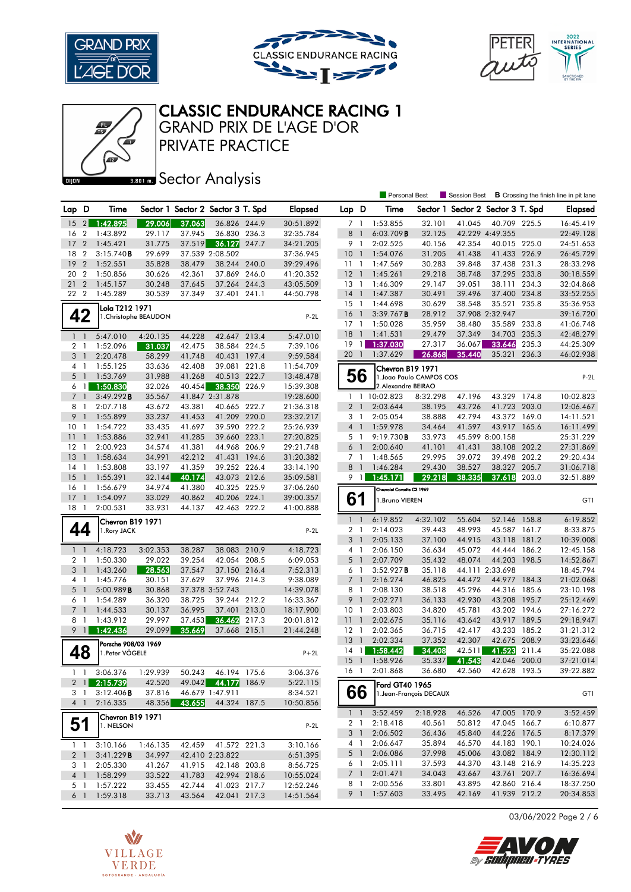

Æ





Personal Best **S** Session Best **B** Crossing the finish line in pit lane

### CLASSIC ENDURANCE RACING 1

PRIVATE PRACTICE GRAND PRIX DE L'AGE D'OR

**B.801 m.** Sector Analysis

| Lap      | D                                | Time                  |                    |                  | Sector 1 Sector 2 Sector 3 T. Spd |       | Elapsed                | Lap D                       |                | Time                       |                          |                  | Sector 1 Sector 2 Sector 3 T. Spd |       | Elapsed                |
|----------|----------------------------------|-----------------------|--------------------|------------------|-----------------------------------|-------|------------------------|-----------------------------|----------------|----------------------------|--------------------------|------------------|-----------------------------------|-------|------------------------|
| 15       |                                  | 2 1:42.895            | 29.006             | 37.063           | 36.826 244.9                      |       | 30:51.892              | 7 1                         |                | 1:53.855                   | 32.101                   | 41.045           | 40.709 225.5                      |       | 16:45.419              |
| 16       | $\overline{2}$                   | 1:43.892              | 29.117             | 37.945           | 36.830 236.3                      |       | 32:35.784              | 8                           | $\overline{1}$ | 6:03.709B                  | 32.125                   |                  | 42.229 4:49.355                   |       | 22:49.128              |
| 17       | $\overline{2}$                   | 1:45.421              | 31.775             | 37.519           | 36.127                            | 247.7 | 34:21.205              | 9 1                         |                | 2:02.525                   | 40.156                   | 42.354           | 40.015 225.0                      |       | 24:51.653              |
| 18       | $\overline{2}$                   | 3:15.740B             | 29.699             |                  | 37.539 2:08.502                   |       | 37:36.945              | 10 <sub>1</sub>             |                | 1:54.076                   | 31.205                   | 41.438           | 41.433 226.9                      |       | 26:45.729              |
| 19       | $\overline{2}$                   | 1:52.551              | 35.828             | 38.479           | 38.244 240.0                      |       | 39:29.496              | $11-1$                      |                | 1:47.569                   | 30.283                   | 39.848           | 37.438 231.3                      |       | 28:33.298              |
| 20       | $\overline{2}$                   | 1:50.856              | 30.626             | 42.361           | 37.869 246.0                      |       | 41:20.352              | $12-1$                      |                | 1:45.261                   | 29.218                   | 38.748           | 37.295 233.8                      |       | 30:18.559              |
| 21       | $\overline{2}$                   | 1:45.157              | 30.248             | 37.645           | 37.264 244.3                      |       | 43:05.509              | 13 1                        |                | 1:46.309                   | 29.147                   | 39.051           | 38.111 234.3                      |       | 32:04.868              |
|          | 22 2                             | 1:45.289              | 30.539             | 37.349           | 37.401 241.1                      |       | 44:50.798              | $14-1$                      |                | 1:47.387                   | 30.491                   | 39.496           | 37.400 234.8                      |       | 33:52.255              |
|          |                                  | Lola T212 1971        |                    |                  |                                   |       |                        | $15-1$                      |                | 1:44.698                   | 30.629                   | 38.548           | 35.521 235.8                      |       | 35:36.953              |
|          | 42                               | 1. Christophe BEAUDON |                    |                  |                                   |       | $P-2L$                 | 16                          | $\overline{1}$ | 3:39.767B                  | 28.912                   |                  | 37.908 2:32.947                   |       | 39:16.720              |
|          |                                  |                       |                    |                  |                                   |       |                        | $17-1$                      |                | 1:50.028                   | 35.959                   | 38.480           | 35.589 233.8                      |       | 41:06.748              |
|          | $1\quad$                         | 5:47.010              | 4:20.135           | 44.228           | 42.647 213.4                      |       | 5:47.010               | 18 <sup>1</sup>             |                | 1:41.531                   | 29.479                   | 37.349           | 34.703 235.3                      |       | 42:48.279              |
|          | 2 <sub>1</sub>                   | 1:52.096              | 31.037             | 42.475           | 38.584 224.5                      |       | 7:39.106               | 19                          | $\overline{1}$ | 1:37.030                   | 27.317                   | 36.067           | 33.646                            | 235.3 | 44:25.309              |
|          | 3 <sub>1</sub>                   | 2:20.478              | 58.299             | 41.748           | 40.431 197.4                      |       | 9:59.584               | 20                          | $\overline{1}$ | 1:37.629                   | 26.868                   | 35.440           | 35.321                            | 236.3 | 46:02.938              |
|          | 4 1                              | 1:55.125              | 33.636             | 42.408           | 39.081 221.8                      |       | 11:54.709              |                             |                | Chevron B19 1971           |                          |                  |                                   |       |                        |
|          | 5 <sub>1</sub>                   | 1:53.769              | 31.988             | 41.268           | 40.513 222.7                      |       | 13:48.478              | 56                          |                |                            | 1. Joao Paulo CAMPOS COS |                  |                                   |       | $P-2L$                 |
| 6        | $\mathbf{1}$                     | 1:50.830              | 32.026             | 40.454           | 38.350                            | 226.9 | 15:39.308              |                             |                | 2. Alexandre BEIRAO        |                          |                  |                                   |       |                        |
|          | 7 <sub>1</sub>                   | 3:49.292B             | 35.567             |                  | 41.847 2:31.878                   |       | 19:28.600              | $\mathbf{1}$                | $\overline{1}$ | 10:02.823                  | 8:32.298                 | 47.196           | 43.329 174.8                      |       | 10:02.823              |
|          | 8 1                              | 2:07.718              | 43.672             | 43.381           | 40.665 222.7                      |       | 21:36.318              | 2 <sub>1</sub>              |                | 2:03.644                   | 38.195                   | 43.726           | 41.723 203.0                      |       | 12:06.467              |
| 9        | $\overline{1}$                   | 1:55.899              | 33.237             | 41.453           | 41.209 220.0                      |       | 23:32.217              | 3 <sub>1</sub>              |                | 2:05.054                   | 38.888                   | 42.794           | 43.372 169.0                      |       | 14:11.521              |
| 10       | $\overline{1}$                   | 1:54.722              | 33.435             | 41.697           | 39.590 222.2                      |       | 25:26.939              | 4 <sup>1</sup>              |                | 1:59.978                   | 34.464                   | 41.597           | 43.917 165.6                      |       | 16:11.499              |
| 11       | $\mathbf{1}$                     | 1:53.886              | 32.941             | 41.285           | 39.660 223.1                      |       | 27:20.825              | 5 <sub>1</sub>              |                | 9:19.730B                  | 33.973                   |                  | 45.599 8:00.158                   |       | 25:31.229              |
| 12       | $\mathbf{1}$                     | 2:00.923              | 34.574             | 41.381           | 44.968 206.9                      |       | 29:21.748              | 6 <sup>1</sup>              |                | 2:00.640<br>1:48.565       | 41.101                   | 41.431           | 38.108 202.2                      |       | 27:31.869              |
| 13       | $\overline{1}$<br>$\overline{1}$ | 1:58.634              | 34.991             | 42.212<br>41.359 | 41.431 194.6<br>39.252 226.4      |       | 31:20.382<br>33:14.190 | 7 <sub>1</sub><br>8         | $\overline{1}$ |                            | 29.995                   | 39.072<br>38.527 | 39.498 202.2                      |       | 29:20.434              |
| 14<br>15 | -1                               | 1:53.808<br>1:55.391  | 33.197<br>32.144   | 40.174           | 43.073 212.6                      |       | 35:09.581              | 9 1                         |                | 1:46.284<br>1:45.171       | 29.430<br>29.218         | 38.335           | 38.327 205.7<br>37.618 203.0      |       | 31:06.718<br>32:51.889 |
| 16       | - 1                              | 1:56.679              | 34.974             | 41.380           | 40.325 225.9                      |       | 37:06.260              |                             |                |                            |                          |                  |                                   |       |                        |
| 17       | $\overline{1}$                   | 1:54.097              | 33.029             | 40.862           | 40.206 224.1                      |       | 39:00.357              |                             |                | Chevrolet Corvette C3 1969 |                          |                  |                                   |       |                        |
| 18       | $\overline{1}$                   | 2:00.531              | 33.931             | 44.137           | 42.463 222.2                      |       | 41:00.888              | 61                          |                | 1. Bruno VIEREN            |                          |                  |                                   |       | GT1                    |
|          |                                  | Chevron B19 1971      |                    |                  |                                   |       |                        | $1\quad$                    |                | 6:19.852                   | 4:32.102                 | 55.604           | 52.146 158.8                      |       | 6:19.852               |
|          | 44                               | 1. Rory JACK          |                    |                  |                                   |       | $P-2L$                 | 2 <sub>1</sub>              |                | 2:14.023                   | 39.443                   | 48.993           | 45.587 161.7                      |       | 8:33.875               |
|          |                                  |                       |                    |                  |                                   |       |                        | 3                           | $\overline{1}$ | 2:05.133                   | 37.100                   | 44.915           | 43.118 181.2                      |       | 10:39.008              |
|          | $1\quad$                         | 4:18.723              | 3:02.353           | 38.287           | 38.083 210.9                      |       | 4:18.723               | $4-1$                       |                | 2:06.150                   | 36.634                   | 45.072           | 44.444 186.2                      |       | 12:45.158              |
|          | 2 <sub>1</sub>                   | 1:50.330              | 29.022             | 39.254           | 42.054 208.5                      |       | 6:09.053               | 5                           | $\overline{1}$ | 2:07.709                   | 35.432                   | 48.074           | 44.203 198.5                      |       | 14:52.867              |
|          | 3 <sup>1</sup>                   | 1:43.260              | 28.563             | 37.547           | 37.150 216.4                      |       | 7:52.313               | 6 1                         |                | 3:52.927B                  | 35.118                   |                  | 44.111 2:33.698                   |       | 18:45.794              |
|          | 4 1                              | 1:45.776              | 30.151             | 37.629           | 37.996 214.3                      |       | 9:38.089               | 7 <sup>1</sup>              |                | 2:16.274                   | 46.825                   | 44.472           | 44.977 184.3                      |       | 21:02.068              |
|          | 5 <sub>1</sub>                   | 5:00.989B             | 30.868             |                  | 37.378 3:52.743                   |       | 14:39.078              | 8 1                         |                | 2:08.130                   | 38.518                   | 45.296           | 44.316 185.6                      |       | 23:10.198              |
| 6        | $\overline{1}$                   | 1:54.289              | 36.320             | 38.725           | 39.244 212.2                      |       | 16:33.367              | 9                           | $\overline{1}$ | 2:02.271                   | 36.133                   | 42.930           | 43.208 195.7                      |       | 25:12.469              |
|          | $7-1$                            | 1:44.533              | 30.137             | 36.995           | 37.401 213.0                      |       | 18:17.900              | 10 <sub>1</sub>             |                | 2:03.803                   | 34.820                   | 45.781           | 43.202 194.6                      |       | 27:16.272              |
| 8        | $\overline{1}$                   | 1:43.912              | 29.997             | 37.453           | 36.462                            | 217.3 | 20:01.812              | 11                          | $\overline{1}$ | 2:02.675                   | 35.116                   | 43.642           | 43.917 189.5                      |       | 29:18.947              |
|          | $9$ 1                            | 1:42.436              | 29.099             | 35.669           | 37.668 215.1                      |       | 21:44.248              | $12-1$                      |                | 2:02.365                   | 36.715                   | 42.417           | 43.233 185.2                      |       | 31:21.312              |
|          |                                  | Porsche 908/03 1969   |                    |                  |                                   |       |                        | $13-1$                      |                | 2:02.334                   | 37.352                   | 42.307           | 42.675 208.9                      |       | 33:23.646              |
|          | 48                               | 1. Peter VÖGELE       |                    |                  |                                   |       | $P+2L$                 | 14                          | $\mathbf{1}$   | 1:58.442                   | 34.408                   | 42.511           | 41.523                            | 211.4 | 35:22.088              |
|          |                                  |                       |                    |                  |                                   |       |                        | 15                          | $\overline{1}$ | 1:58.926                   | 35.337                   | 41.543           | 42.046 200.0                      |       | 37:21.014              |
|          | $1\quad$                         | 3:06.376              | 1:29.939           | 50.243           | 46.194 175.6                      |       | 3:06.376               | 16 1                        |                | 2:01.868                   | 36.680                   | 42.560           | 42.628 193.5                      |       | 39:22.882              |
|          |                                  | 2 1 2:15.739          | 42.520             | 49.042           | 44.177                            | 186.9 | 5:22.115               |                             |                | Ford GT40 1965             |                          |                  |                                   |       |                        |
|          | 3 1                              | 3:12.406B             | 37.816             |                  | 46.679 1:47.911                   |       | 8:34.521               |                             | 66             |                            | 1. Jean-François DECAUX  |                  |                                   |       | GT1                    |
|          | 4 <sup>1</sup>                   | 2:16.335              | 48.356             | 43.655           | 44.324 187.5                      |       | 10:50.856              |                             |                |                            |                          |                  |                                   |       |                        |
|          |                                  | Chevron B19 1971      |                    |                  |                                   |       |                        | $1\quad1$<br>2 <sub>1</sub> |                | 3:52.459<br>2:18.418       | 2:18.928<br>40.561       | 46.526<br>50.812 | 47.005 170.9<br>47.045 166.7      |       | 3:52.459<br>6:10.877   |
|          | 51                               | 1. NELSON             |                    |                  |                                   |       | $P-2L$                 | 3 <sup>1</sup>              |                | 2:06.502                   | 36.436                   | 45.840           | 44.226 176.5                      |       | 8:17.379               |
|          |                                  |                       |                    |                  |                                   |       |                        | 4 1                         |                | 2:06.647                   | 35.894                   | 46.570           | 44.183 190.1                      |       | 10:24.026              |
|          | $1\quad1$<br>2 <sub>1</sub>      | 3:10.166<br>3:41.229B | 1:46.135<br>34.997 | 42.459           | 41.572 221.3<br>42.410 2:23.822   |       | 3:10.166               | $5-1$                       |                | 2:06.086                   | 37.998                   | 45.006           | 43.082 184.9                      |       | 12:30.112              |
|          | 3 1                              | 2:05.330              | 41.267             | 41.915           | 42.148 203.8                      |       | 6:51.395<br>8:56.725   | 6 1                         |                | 2:05.111                   | 37.593                   | 44.370           | 43.148 216.9                      |       | 14:35.223              |
|          | 4 <sup>1</sup>                   | 1:58.299              | 33.522             | 41.783           | 42.994 218.6                      |       | 10:55.024              | 7 <sup>1</sup>              |                | 2:01.471                   | 34.043                   | 43.667           | 43.761 207.7                      |       | 16:36.694              |
|          | 5 <sub>1</sub>                   | 1:57.222              | 33.455             | 42.744           | 41.023 217.7                      |       | 12:52.246              | 8 1                         |                | 2:00.556                   | 33.801                   | 43.895           | 42.860 216.4                      |       | 18:37.250              |
|          | $6-1$                            | 1:59.318              | 33.713             | 43.564           | 42.041 217.3                      |       | 14:51.564              | 9 1                         |                | 1:57.603                   | 33.495                   | 42.169           | 41.939 212.2                      |       | 20:34.853              |

03/06/2022 Page 2 / 6



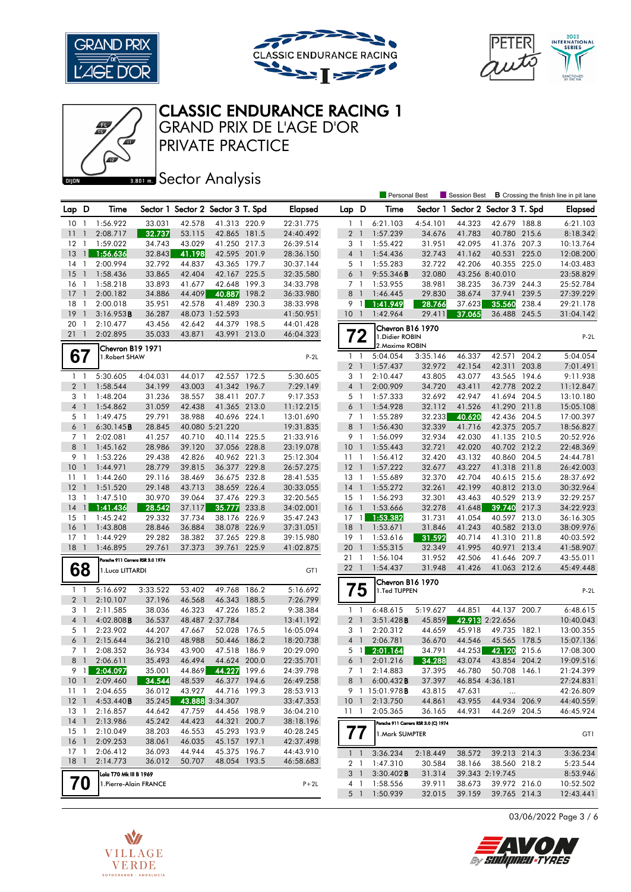

Œ





# CLASSIC ENDURANCE RACING 1

PRIVATE PRACTICE GRAND PRIX DE L'AGE D'OR

**Bector Analysis** 

|                       |                          |                                    |                  |                                   |                              |       |                        |                  |                          | <b>Personal Best</b>                 |                  | Session Best             |                              |       | <b>B</b> Crossing the finish line in pit lane |
|-----------------------|--------------------------|------------------------------------|------------------|-----------------------------------|------------------------------|-------|------------------------|------------------|--------------------------|--------------------------------------|------------------|--------------------------|------------------------------|-------|-----------------------------------------------|
| Lap D                 |                          | Time                               |                  | Sector 1 Sector 2 Sector 3 T. Spd |                              |       | <b>Elapsed</b>         | Lap D            |                          | Time                                 | Sector 1         | Sector 2 Sector 3 T. Spd |                              |       | Elapsed                                       |
| 10                    | - 1                      | 1:56.922                           | 33.031           | 42.578                            | 41.313 220.9                 |       | 22:31.775              | $1\quad$         |                          | 6:21.103                             | 4:54.101         | 44.323                   | 42.679 188.8                 |       | 6:21.103                                      |
| 11                    | $\mathbf{1}$             | 2:08.717                           | 32.737           | 53.115                            | 42.865 181.5                 |       | 24:40.492              | 2 <sub>1</sub>   |                          | 1:57.239                             | 34.676           | 41.783                   | 40.780 215.6                 |       | 8:18.342                                      |
| 12                    | $\mathbf{1}$             | 1:59.022                           | 34.743           | 43.029                            | 41.250 217.3                 |       | 26:39.514              | 3 <sub>1</sub>   |                          | 1:55.422                             | 31.951           | 42.095                   | 41.376 207.3                 |       | 10:13.764                                     |
| 13                    | $\mathbf{1}$             | 1:56.636                           | 32.843           | 41.198                            | 42.595 201.9                 |       | 28:36.150              | 4 <sup>1</sup>   |                          | 1:54.436                             | 32.743           | 41.162                   | 40.531                       | 225.0 | 12:08.200                                     |
| 14                    | $\overline{1}$           | 2:00.994                           | 32.792           | 44.837                            | 43.365 179.7                 |       | 30:37.144              | 5 <sub>1</sub>   |                          | 1:55.283                             | 32.722           | 42.206                   | 40.355 225.0                 |       | 14:03.483                                     |
| 15                    | $\overline{1}$           | 1:58.436                           | 33.865           | 42.404                            | 42.167 225.5                 |       | 32:35.580              | 6                | $\overline{1}$           | 9:55.346B                            | 32.080           |                          | 43.256 8:40.010              |       | 23:58.829                                     |
| 16                    | $\overline{1}$           | 1:58.218                           | 33.893           | 41.677                            | 42.648                       | 199.3 | 34:33.798              | 7 <sub>1</sub>   |                          | 1:53.955                             | 38.981           | 38.235                   | 36.739 244.3                 |       | 25:52.784                                     |
| 17                    | $\mathbf{1}$             | 2:00.182                           | 34.886           | 44.409                            | 40.887                       | 198.2 | 36:33.980              | 8                | $\overline{1}$           | 1:46.445                             | 29.830           | 38.674                   | 37.941                       | 239.5 | 27:39.229                                     |
| 18                    | -1                       | 2:00.018                           | 35.951           | 42.578                            | 41.489                       | 230.3 | 38:33.998              | 9                | -1                       | 1:41.949                             | 28.766           | 37.623                   | 35.560                       | 238.4 | 29:21.178                                     |
| 19                    | $\mathbf{1}$             | 3:16.953B                          | 36.287           |                                   | 48.073 1:52.593              |       | 41:50.951              | 10 <sub>1</sub>  |                          | 1:42.964                             | 29.411           | 37.065                   | 36.488 245.5                 |       | 31:04.142                                     |
| 20                    | -1                       | 2:10.477                           | 43.456           | 42.642                            | 44.379                       | 198.5 | 44:01.428              |                  |                          |                                      |                  |                          |                              |       |                                               |
| 211                   |                          | 2:02.895                           | 35.033           | 43.871                            | 43.991 213.0                 |       | 46:04.323              |                  | 72                       | Chevron B16 1970                     |                  |                          |                              |       |                                               |
|                       |                          |                                    |                  |                                   |                              |       |                        |                  |                          | 1. Didier ROBIN<br>2. Maxime ROBIN   |                  |                          |                              |       | $P-2L$                                        |
| 67                    |                          | Chevron B19 1971<br>1. Robert SHAW |                  |                                   |                              |       |                        | $1\quad$         |                          | 5:04.054                             | 3:35.146         | 46.337                   | 42.571                       | 204.2 | 5:04.054                                      |
|                       |                          |                                    |                  |                                   |                              |       | $P-2L$                 | 2 <sub>1</sub>   |                          | 1:57.437                             | 32.972           | 42.154                   | 42.311                       | 203.8 | 7:01.491                                      |
| 11                    |                          | 5:30.605                           | 4:04.031         | 44.017                            | 42.557                       | 172.5 | 5:30.605               | $3-1$            |                          | 2:10.447                             | 43.805           | 43.077                   | 43.565 194.6                 |       | 9:11.938                                      |
| 2 <sub>1</sub>        |                          | 1:58.544                           | 34.199           | 43.003                            | 41.342 196.7                 |       | 7:29.149               | 4 <sup>1</sup>   |                          | 2:00.909                             | 34.720           | 43.411                   | 42.778 202.2                 |       | 11:12.847                                     |
| 3                     | - 1                      | 1:48.204                           | 31.236           | 38.557                            | 38.411                       | 207.7 | 9:17.353               | 5 <sub>1</sub>   |                          | 1:57.333                             | 32.692           | 42.947                   | 41.694 204.5                 |       | 13:10.180                                     |
|                       |                          |                                    |                  |                                   |                              |       |                        | $6-1$            |                          |                                      |                  | 41.526                   |                              |       |                                               |
| 4 <sup>1</sup><br>5 1 |                          | 1:54.862<br>1:49.475               | 31.059<br>29.791 | 42.438<br>38.988                  | 41.365 213.0<br>40.696 224.1 |       | 11:12.215<br>13:01.690 | 7 <sub>1</sub>   |                          | 1:54.928<br>1:55.289                 | 32.112<br>32.233 | 40.620                   | 41.290 211.8<br>42.436 204.5 |       | 15:05.108<br>17:00.397                        |
| 6 <sup>1</sup>        |                          | 6:30.145B                          | 28.845           |                                   | 40.080 5:21.220              |       | 19:31.835              | 8                | $\overline{1}$           | 1:56.430                             | 32.339           | 41.716                   | 42.375 205.7                 |       | 18:56.827                                     |
|                       |                          |                                    |                  | 40.710                            |                              |       |                        |                  |                          | 1:56.099                             |                  | 42.030                   |                              |       |                                               |
| 7 <sup>1</sup><br>8   | -1                       | 2:02.081<br>1:45.162               | 41.257<br>28.986 | 39.120                            | 40.114 225.5<br>37.056 228.8 |       | 21:33.916              | 9 1<br>10        | $\overline{\phantom{a}}$ | 1:55.443                             | 32.934<br>32.721 | 42.020                   | 41.135 210.5<br>40.702 212.2 |       | 20:52.926<br>22:48.369                        |
| 9 1                   |                          | 1:53.226                           | 29.438           | 42.826                            | 40.962 221.3                 |       | 23:19.078              | 11               | -1                       |                                      | 32.420           | 43.132                   | 40.860 204.5                 |       | 24:44.781                                     |
|                       | $\overline{1}$           | 1:44.971                           |                  |                                   | 36.377 229.8                 |       | 25:12.304<br>26:57.275 |                  |                          | 1:56.412<br>1:57.222                 |                  |                          |                              |       |                                               |
| 10                    | $\overline{\phantom{a}}$ | 1:44.260                           | 28.779<br>29.116 | 39.815                            | 36.675                       | 232.8 |                        | $12-1$<br>$13-1$ |                          | 1:55.689                             | 32.677<br>32.370 | 43.227<br>42.704         | 41.318 211.8<br>40.615 215.6 |       | 26:42.003<br>28:37.692                        |
| 11<br>12              | $\overline{1}$           |                                    | 29.148           | 38.469<br>43.713                  | 38.659 226.4                 |       | 28:41.535              | $14-1$           |                          |                                      | 32.261           | 42.199                   | 40.812 213.0                 |       | 30:32.964                                     |
| 13                    | $\mathbf{1}$             | 1:51.520                           | 30.970           | 39.064                            | 37.476 229.3                 |       | 30:33.055              | $15-1$           |                          | 1:55.272                             |                  |                          | 40.529 213.9                 |       | 32:29.257                                     |
| 14                    | $\mathbf{1}$             | 1:47.510<br>1:41.436               | 28.542           | 37.117                            | 35.777 233.8                 |       | 32:20.565<br>34:02.001 | 16               | $\mathbf{1}$             | 1:56.293<br>1:53.666                 | 32.301<br>32.278 | 43.463<br>41.648         | 39.740 217.3                 |       | 34:22.923                                     |
| 15                    | $\mathbf{1}$             | 1:45.242                           | 29.332           | 37.734                            | 38.176 226.9                 |       | 35:47.243              | 17               | $\overline{1}$           | 1:53.382                             | 31.731           | 41.054                   | 40.597 213.0                 |       | 36:16.305                                     |
| 16                    | $\overline{1}$           | 1:43.808                           | 28.846           | 36.884                            | 38.078                       | 226.9 | 37:31.051              | 18               | $\overline{1}$           | 1:53.671                             | 31.846           | 41.243                   | 40.582 213.0                 |       | 38:09.976                                     |
| $17-1$                |                          | 1:44.929                           | 29.282           | 38.382                            | 37.265 229.8                 |       | 39:15.980              | $19-1$           |                          | 1:53.616                             | 31.592           | 40.714                   | 41.310 211.8                 |       | 40:03.592                                     |
| 18                    | $\overline{\phantom{a}}$ | 1:46.895                           | 29.761           | 37.373                            | 39.761 225.9                 |       | 41:02.875              | 20               | $\overline{1}$           | 1:55.315                             | 32.349           | 41.995                   | 40.971                       | 213.4 | 41:58.907                                     |
|                       |                          |                                    |                  |                                   |                              |       |                        | 21 1             |                          | 1:56.104                             | 31.952           | 42.506                   | 41.646 209.7                 |       | 43:55.011                                     |
|                       |                          | Porsche 911 Carrera RSR 3.0 1974   |                  |                                   |                              |       |                        | 221              |                          | 1:54.437                             | 31.948           | 41.426                   | 41.063 212.6                 |       | 45:49.448                                     |
| 68                    |                          | 1.Luca LITTARDI                    |                  |                                   |                              |       | GT1                    |                  |                          |                                      |                  |                          |                              |       |                                               |
| $1\quad$              |                          | 5:16.692                           | 3:33.522         | 53.402                            | 49.768                       | 186.2 | 5:16.692               |                  | 75                       | Chevron B16 1970                     |                  |                          |                              |       |                                               |
| 2 <sub>1</sub>        |                          | 2:10.107                           | 37.196           | 46.568                            | 46.343                       | 188.5 | 7:26.799               |                  |                          | 1.Ted TUPPEN                         |                  |                          |                              |       | $P-2L$                                        |
| 3                     | - 1                      | 2:11.585                           | 38.036           | 46.323                            | 47.226                       | 185.2 | 9:38.384               | 1                | $\overline{1}$           | 6:48.615                             | 5:19.627         | 44.851                   | 44.137 200.7                 |       | 6:48.615                                      |
| 4 1                   |                          | $4:02.808$ <b>B</b>                | 36.537           |                                   | 48.487 2:37.784              |       | 13:41.192              | 2 <sub>1</sub>   |                          | 3:51.428B                            | 45.859           |                          | 42.913 2:22.656              |       | 10:40.043                                     |
| 5 1                   |                          | 2:23.902                           | 44.207           | 47.667                            | 52.028                       | 176.5 | 16:05.094              | 3 <sup>1</sup>   |                          | 2:20.312                             | 44.659           | 45.918                   | 49.735 182.1                 |       | 13:00.355                                     |
| 6 1                   |                          | 2:15.644                           | 36.210           | 48.988                            | 50.446                       | 186.2 | 18:20.738              | 4 <sup>1</sup>   |                          | 2:06.781                             | 36.670           | 44.546                   | 45.565 178.5                 |       | 15:07.136                                     |
| 7 <sub>1</sub>        |                          |                                    | 36.934           | 43.900                            | 47.518                       | 186.9 |                        | 5                | $\overline{1}$           | 2:01.164                             | 34.791           | 44.253                   | 42.120                       | 215.6 | 17:08.300                                     |
| 8 1                   |                          | 2:08.352<br>2:06.611               | 35.493           | 46.494                            | 44.624 200.0                 |       | 20:29.090<br>22:35.701 |                  |                          | 2:01.216                             | 34.288           | 43.074                   | 43.854 204.2                 |       | 19:09.516                                     |
|                       |                          |                                    |                  |                                   |                              |       |                        | 6 <sup>1</sup>   |                          |                                      |                  |                          |                              |       |                                               |
| 10 <sub>1</sub>       | 911                      | 2:04.097                           | 35.001<br>34.544 | 44.869                            | <b>44.227</b> 199.6          |       | 24:39.798              |                  | 7 1                      | 2:14.883                             | 37.395           |                          | 46.780 50.708 146.1          |       | 21:24.399                                     |
|                       |                          | 2:09.460                           |                  | 48.539<br>43.927                  | 46.377 194.6<br>44.716 199.3 |       | 26:49.258              |                  | 8 1                      | $6:00.432$ <b>B</b>                  | 37.397           |                          | 46.854 4:36.181              |       | 27:24.831                                     |
| $11-1$<br>$12-1$      |                          | 2:04.655                           | 36.012<br>35.245 |                                   |                              |       | 28:53.913              | 10 <sub>1</sub>  |                          | 9 1 15:01.978 <b>B</b>               | 43.815<br>44.861 | 47.631                   | $\ldots$                     |       | 42:26.809                                     |
|                       |                          | 4:53.440B                          |                  |                                   | 43.888 3:34.307              |       | 33:47.353              |                  |                          | 2:13.750                             |                  | 43.955                   | 44.934 206.9                 |       | 44:40.559                                     |
| $13-1$<br>$14-1$      |                          | 2:16.857<br>2:13.986               | 44.642           | 47.759                            | 44.456 198.9<br>44.321 200.7 |       | 36:04.210              | 11 1             |                          | 2:05.365                             | 36.165           | 44.931                   | 44.269 204.5                 |       | 46:45.924                                     |
|                       |                          |                                    | 45.242           | 44.423                            |                              |       | 38:18.196<br>40:28.245 |                  |                          | Porsche 911 Carrera RSR 3.0 (C) 1974 |                  |                          |                              |       |                                               |
| $15-1$                |                          | 2:10.049<br>2:09.253               | 38.203           | 46.553                            | 45.293 193.9                 |       |                        | $\prime\prime$   |                          | 1. Mark SUMPTER                      |                  |                          |                              |       | GT1                                           |
| 16 <sub>1</sub>       |                          |                                    | 38.061           | 46.035                            | 45.157 197.1<br>45.375 196.7 |       | 42:37.498              |                  |                          |                                      |                  |                          |                              |       |                                               |
| 17 1                  |                          | 2:06.412                           | 36.093           | 44.944                            |                              |       | 44:43.910              | $1\quad1$        |                          | 3:36.234                             | 2:18.449         | 38.572                   | 39.213 214.3                 |       | 3:36.234                                      |
| $18-1$                |                          | 2:14.773                           | 36.012           | 50.707                            | 48.054 193.5                 |       | 46:58.683              | 2 1              |                          | 1:47.310                             | 30.584           | 38.166                   | 38.560 218.2                 |       | 5:23.544                                      |
|                       |                          | Lola T70 Mk III B 1969             |                  |                                   |                              |       |                        | 3 <sup>1</sup>   |                          | $3:30.402$ B                         | 31.314           |                          | 39.343 2:19.745              |       | 8:53.946                                      |
|                       | 70                       | 1. Pierre-Alain FRANCE             |                  |                                   |                              |       | $P+2L$                 | 4 1              |                          | 1:58.556                             | 39.911           | 38.673                   | 39.972 216.0                 |       | 10:52.502                                     |
|                       |                          |                                    |                  |                                   |                              |       |                        | 5 <sup>1</sup>   |                          | 1:50.939                             | 32.015           | 39.159                   | 39.765 214.3                 |       | 12:43.441                                     |





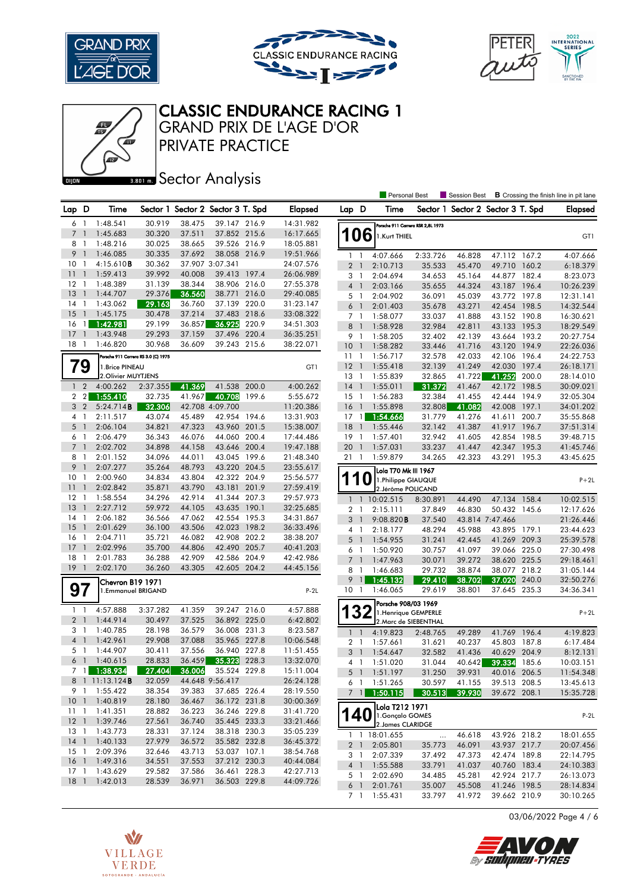

Æ

V

**VILLAGE** 

**VERDE** SOTOGRANDE - ANDALUCÍA





Personal Best **S** Session Best **B** Crossing the finish line in pit lane

### CLASSIC ENDURANCE RACING 1

PRIVATE PRACTICE GRAND PRIX DE L'AGE D'OR

**B.801 m.** Sector Analysis

| Lap             | D              | Time                                |          |        | Sector 1 Sector 2 Sector 3 T. Spd |       | <b>Elapsed</b> | Lap D           |                          | Time                 |                                   |        | Sector 1 Sector 2 Sector 3 T. Spd |       | <b>Elapsed</b> |
|-----------------|----------------|-------------------------------------|----------|--------|-----------------------------------|-------|----------------|-----------------|--------------------------|----------------------|-----------------------------------|--------|-----------------------------------|-------|----------------|
|                 | 61             | 1:48.541                            | 30.919   | 38.475 | 39.147 216.9                      |       | 14:31.982      |                 |                          |                      | Porsche 911 Carrera RSR 2,8L 1973 |        |                                   |       |                |
| $\overline{7}$  | $\overline{1}$ | 1:45.683                            | 30.320   | 37.511 | 37.852 215.6                      |       | 16:17.665      |                 | 6<br>0                   | 1.Kurt THIEL         |                                   |        |                                   |       | GT1            |
| 8               | -1             | 1:48.216                            | 30.025   | 38.665 | 39.526 216.9                      |       | 18:05.881      |                 |                          |                      |                                   |        |                                   |       |                |
| 9               | $\overline{1}$ | 1:46.085                            | 30.335   | 37.692 | 38.058 216.9                      |       | 19:51.966      | $\mathbf{1}$    | $\overline{1}$           | 4:07.666             | 2:33.726                          | 46.828 | 47.112 167.2                      |       | 4:07.666       |
| 10              | -1             | 4:15.610B                           | 30.362   |        | 37.907 3:07.341                   |       | 24:07.576      | 2               | $\overline{\phantom{a}}$ | 2:10.713             | 35.533                            | 45.470 | 49.710 160.2                      |       | 6:18.379       |
| 11              | $\overline{1}$ | 1:59.413                            | 39.992   | 40.008 | 39.413 197.4                      |       | 26:06.989      | 3               | $\overline{1}$           | 2:04.694             | 34.653                            | 45.164 | 44.877 182.4                      |       | 8:23.073       |
| 12              | $\overline{1}$ | 1:48.389                            | 31.139   | 38.344 | 38.906 216.0                      |       | 27:55.378      | 4 1             |                          | 2:03.166             | 35.655                            | 44.324 | 43.187 196.4                      |       | 10:26.239      |
| 13              | $\mathbf{1}$   | 1:44.707                            | 29.376   | 36.560 | 38.771 216.0                      |       | 29:40.085      | 5               | -1                       | 2:04.902             | 36.091                            | 45.039 | 43.772 197.8                      |       | 12:31.141      |
| 14              | -1             | 1:43.062                            | 29.163   | 36.760 | 37.139 220.0                      |       | 31:23.147      | 6 1             |                          | 2:01.403             | 35.678                            | 43.271 | 42.454 198.5                      |       | 14:32.544      |
| 15              | $\overline{1}$ | 1:45.175                            | 30.478   | 37.214 | 37.483                            | 218.6 | 33:08.322      | 7 <sub>1</sub>  |                          | 1:58.077             | 33.037                            | 41.888 | 43.152 190.8                      |       | 16:30.621      |
| 16              | $\overline{1}$ | 1:42.981                            | 29.199   | 36.857 | 36.925                            | 220.9 | 34:51.303      | 8               | $\overline{1}$           | 1:58.928             | 32.984                            | 42.811 | 43.133 195.3                      |       | 18:29.549      |
| 17              | $\mathbf{1}$   | 1:43.948                            | 29.293   | 37.159 | 37.496                            | 220.4 | 36:35.251      | 9 1             |                          | 1:58.205             | 32.402                            | 42.139 | 43.664 193.2                      |       | 20:27.754      |
| 18              | $\overline{1}$ | 1:46.820                            | 30.968   | 36.609 | 39.243 215.6                      |       | 38:22.071      | 10 <sub>1</sub> |                          | 1:58.282             | 33.446                            | 41.716 | 43.120 194.9                      |       | 22:26.036      |
|                 |                | Porsche 911 Carrera RS 3.0 (C) 1975 |          |        |                                   |       |                | 11              | -1                       | 1:56.717             | 32.578                            | 42.033 | 42.106 196.4                      |       | 24:22.753      |
|                 | 79             | 1. Brice PINEAU                     |          |        |                                   |       | GT1            | $12-1$          |                          | 1:55.418             | 32.139                            | 41.249 | 42.030                            | 197.4 | 26:18.171      |
|                 |                | 2. Olivier MUYTJENS                 |          |        |                                   |       |                | 13              | $\overline{1}$           | 1:55.839             | 32.865                            | 41.722 | 41.252                            | 200.0 | 28:14.010      |
| 1               | $\overline{2}$ | 4:00.262                            | 2:37.355 | 41.369 | 41.538                            | 200.0 | 4:00.262       | 14              | $\overline{1}$           | 1:55.011             | 31.372                            | 41.467 | 42.172 198.5                      |       | 30:09.021      |
|                 | $2 \quad 2$    | 1:55.410                            | 32.735   | 41.967 | 40.708                            | 199.6 | 5:55.672       | 15              | $\overline{1}$           | 1:56.283             | 32.384                            | 41.455 | 42.444 194.9                      |       | 32:05.304      |
| 3 <sub>2</sub>  |                | 5:24.714B                           | 32.306   |        | 42.708 4:09.700                   |       | 11:20.386      | 16 <sub>1</sub> |                          | 1:55.898             | 32.808                            | 41.082 | 42.008 197.1                      |       | 34:01.202      |
| 41              |                | 2:11.517                            | 43.074   | 45.489 | 42.954 194.6                      |       | 13:31.903      | 17              | $\overline{1}$           | 1:54.666             | 31.779                            | 41.276 | 41.611                            | 200.7 | 35:55.868      |
| $5-1$           |                | 2:06.104                            | 34.821   | 47.323 | 43.960 201.5                      |       | 15:38.007      | 18              | $\overline{1}$           | 1:55.446             | 32.142                            | 41.387 | 41.917 196.7                      |       | 37:51.314      |
| 6 1             |                | 2:06.479                            | 36.343   | 46.076 | 44.060 200.4                      |       | 17:44.486      | $19-1$          |                          | 1:57.401             | 32.942                            | 41.605 | 42.854 198.5                      |       | 39:48.715      |
| $\overline{7}$  | $\overline{1}$ | 2:02.702                            | 34.898   | 44.158 | 43.646 200.4                      |       | 19:47.188      | 20              | $\overline{1}$           | 1:57.031             | 33.237                            | 41.447 | 42.347 195.3                      |       | 41:45.746      |
| 8 1             |                | 2:01.152                            | 34.096   | 44.011 | 43.045 199.6                      |       | 21:48.340      | $21 \quad 1$    |                          | 1:59.879             | 34.265                            | 42.323 | 43.291 195.3                      |       | 43:45.625      |
| 9               | $\overline{1}$ | 2:07.277                            | 35.264   | 48.793 | 43.220 204.5                      |       | 23:55.617      |                 |                          | Lola T70 Mk III 1967 |                                   |        |                                   |       |                |
| 10              | -1             | 2:00.960                            | 34.834   | 43.804 | 42.322 204.9                      |       | 25:56.577      |                 |                          | 1.Philippe GIAUQUE   |                                   |        |                                   |       | $P+2L$         |
| 11              | $\mathbf{1}$   | 2:02.842                            | 35.871   | 43.790 | 43.181                            | 201.9 | 27:59.419      |                 |                          | 2. Jérôme POLICAND   |                                   |        |                                   |       |                |
| 12              | $\mathbf{1}$   | 1:58.554                            | 34.296   | 42.914 | 41.344 207.3                      |       | 29:57.973      | 1               | $\mathbf{1}$             | 10:02.515            | 8:30.891                          | 44.490 | 47.134 158.4                      |       | 10:02.515      |
| 13              | $\mathbf{1}$   | 2:27.712                            | 59.972   | 44.105 | 43.635 190.1                      |       | 32:25.685      | $\overline{2}$  | $\mathbf{1}$             | 2:15.111             | 37.849                            | 46.830 | 50.432 145.6                      |       | 12:17.626      |
| 14              | -1             | 2:06.182                            | 36.566   | 47.062 | 42.554 195.3                      |       | 34:31.867      | 3               |                          | 9:08.820B            | 37.540                            |        | 43.814 7:47.466                   |       | 21:26.446      |
| 15              | $\overline{1}$ | 2:01.629                            | 36.100   | 43.506 | 42.023 198.2                      |       | 36:33.496      | 4               | -1                       | 2:18.177             | 48.294                            | 45.988 | 43.895 179.1                      |       | 23:44.623      |
| 16              | -1             | 2:04.711                            | 35.721   | 46.082 | 42.908 202.2                      |       | 38:38.207      | 5 <sub>1</sub>  |                          | 1:54.955             | 31.241                            | 42.445 | 41.269 209.3                      |       | 25:39.578      |
| 17              | $\mathbf{1}$   | 2:02.996                            | 35.700   | 44.806 | 42.490 205.7                      |       | 40:41.203      | 61              |                          | 1:50.920             | 30.757                            | 41.097 | 39.066 225.0                      |       | 27:30.498      |
| 18              | -1             | 2:01.783                            | 36.288   | 42.909 | 42.586 204.9                      |       | 42:42.986      | 7 <sup>1</sup>  |                          | 1:47.963             | 30.071                            | 39.272 | 38.620 225.5                      |       | 29:18.461      |
| 19              | $\overline{1}$ | 2:02.170                            | 36.260   | 43.305 | 42.605 204.2                      |       | 44:45.156      | 8               | -1                       | 1:46.683             | 29.732                            | 38.874 | 38.077                            | 218.2 | 31:05.144      |
|                 |                | Chevron B19 1971                    |          |        |                                   |       |                | 9               | $\frac{1}{2}$            | 1:45.132             | 29.410                            | 38.702 | 37.020                            | 240.0 | 32:50.276      |
| 97              |                | 1.Emmanuel BRIGAND                  |          |        |                                   |       | $P-2L$         | 10 <sub>1</sub> |                          | 1:46.065             | 29.619                            | 38.801 | 37.645 235.3                      |       | 34:36.341      |
|                 |                |                                     |          |        |                                   |       |                |                 |                          | Porsche 908/03 1969  |                                   |        |                                   |       |                |
| $1\quad$        |                | 4:57.888                            | 3:37.282 | 41.359 | 39.247 216.0                      |       | 4:57.888       |                 | 32                       | 1. Henrique GEMPERLE |                                   |        |                                   |       | $P+2L$         |
| 2 <sub>1</sub>  |                | 1:44.914                            | 30.497   | 37.525 | 36.892 225.0                      |       | 6:42.802       |                 |                          |                      | 2. Marc de SIEBENTHAL             |        |                                   |       |                |
| 3 1             |                | 1:40.785                            | 28.198   | 36.579 | 36.008 231.3                      |       | 8:23.587       | $1\quad$        |                          | 4:19.823             | 2:48.765                          | 49.289 | 41.769                            | 196.4 | 4:19.823       |
| 4 <sup>1</sup>  |                | 1:42.961                            | 29.908   | 37.088 | 35.965 227.8                      |       | 10:06.548      | 2 <sub>1</sub>  |                          | 1:57.661             | 31.621                            | 40.237 | 45.803 187.8                      |       | 6:17.484       |
| 5 <sub>1</sub>  |                | 1:44.907                            | 30.411   | 37.556 | 36.940 227.8                      |       | 11:51.455      | 3               | -1                       | 1:54.647             | 32.582                            | 41.436 | 40.629                            | 204.9 | 8:12.131       |
| 6 1             |                | 1:40.615                            | 28.833   | 36.459 | 35.323                            | 228.3 | 13:32.070      | 4 1             |                          | 1:51.020             | 31.044                            | 40.642 | 39.334                            | 185.6 | 10:03.151      |
|                 | $7 \quad 1$    | 1:38.934                            | 27.404   | 36.006 | 35.524 229.8                      |       | 15:11.004      | 5 <sub>1</sub>  |                          | 1:51.197             | 31.250                            | 39.931 | 40.016 206.5                      |       | 11:54.348      |
|                 |                | 8 1 11:13.124 <b>B</b>              | 32.059   |        | 44.648 9:56.417                   |       | 26:24.128      |                 |                          | 6 1 1:51.265         | 30.597                            | 41.155 | 39.513 208.5                      |       | 13:45.613      |
|                 | 9 1            | 1:55.422                            | 38.354   | 39.383 | 37.685 226.4                      |       | 28:19.550      |                 | $7 \mid$                 | 1:50.115             | 30.513                            | 39.930 | 39.672 208.1                      |       | 15:35.728      |
| 10 <sub>1</sub> |                | 1:40.819                            | 28.180   | 36.467 | 36.172 231.8                      |       | 30:00.369      |                 |                          | Lola T212 1971       |                                   |        |                                   |       |                |
| $11-1$          |                | 1:41.351                            | 28.882   | 36.223 | 36.246 229.8                      |       | 31:41.720      |                 | 40                       | 1. Gonçalo GOMES     |                                   |        |                                   |       | $P-2L$         |
| $12-1$          |                | 1:39.746                            | 27.561   | 36.740 | 35.445 233.3                      |       | 33:21.466      |                 |                          | 2. James CLARIDGE    |                                   |        |                                   |       |                |
| $13-1$          |                | 1:43.773                            | 28.331   | 37.124 | 38.318 230.3                      |       | 35:05.239      |                 |                          | 1 1 18:01.655        | $\ldots$                          | 46.618 | 43.926 218.2                      |       | 18:01.655      |
| $14-1$          |                | 1:40.133                            | 27.979   | 36.572 | 35.582 232.8                      |       | 36:45.372      | 2 <sub>1</sub>  |                          | 2:05.801             | 35.773                            | 46.091 | 43.937 217.7                      |       | 20:07.456      |
| $15-1$          |                | 2:09.396                            | 32.646   | 43.713 | 53.037 107.1                      |       | 38:54.768      | 31              |                          | 2:07.339             | 37.492                            | 47.373 | 42.474 189.8                      |       | 22:14.795      |
| $16-1$          |                | 1:49.316                            | 34.551   | 37.553 | 37.212 230.3                      |       | 40:44.084      |                 | 4 1                      | 1:55.588             | 33.791                            | 41.037 | 40.760 183.4                      |       | 24:10.383      |
| 17              | $\overline{1}$ | 1:43.629                            | 29.582   | 37.586 | 36.461 228.3                      |       | 42:27.713      | 5 1             |                          | 2:02.690             | 34.485                            | 45.281 | 42.924 217.7                      |       | 26:13.073      |
| $18-1$          |                | 1:42.013                            | 28.539   | 36.971 | 36.503 229.8                      |       | 44:09.726      | 6 <sup>1</sup>  |                          | 2:01.761             | 35.007                            | 45.508 | 41.246 198.5                      |       | 28:14.834      |
|                 |                |                                     |          |        |                                   |       |                |                 |                          | 7 1 1:55.431         | 33.797                            | 41.972 | 39.662 210.9                      |       | 30:10.265      |

03/06/2022 Page 4 / 6

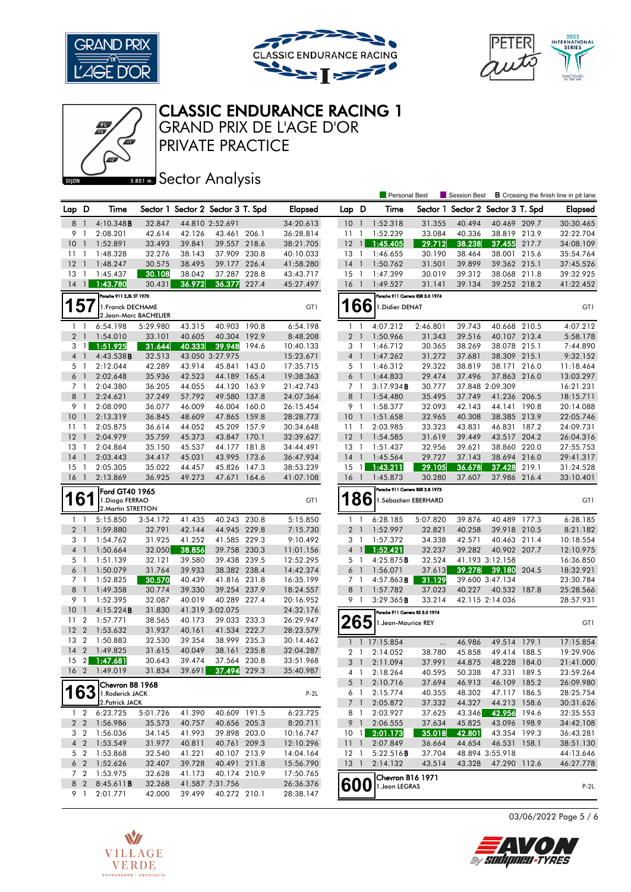

心





Personal Best **S** Session Best **B** Crossing the finish line in pit lane

## CLASSIC ENDURANCE RACING 1

PRIVATE PRACTICE GRAND PRIX DE L'AGE D'OR

**BROTH** Sector Analysis

| Lap D          |                              | Time                              |                  |                  | Sector 1 Sector 2 Sector 3 T. Spd |       | <b>Elapsed</b>         | Lap D               |                                  | Time                             |                  | Sector 1 Sector 2 Sector 3 T. Spd |                                 |       | Elapsed                |
|----------------|------------------------------|-----------------------------------|------------------|------------------|-----------------------------------|-------|------------------------|---------------------|----------------------------------|----------------------------------|------------------|-----------------------------------|---------------------------------|-------|------------------------|
| 8              | $\overline{1}$               | $4:10.348$ <b>B</b>               | 32.847           |                  | 44.810 2:52.691                   |       | 34:20.613              | 10                  | $\overline{1}$                   | 1:52.318                         | 31.355           | 40.494                            | 40.469 209.7                    |       | 30:30.465              |
| 9              | - 1                          | 2:08.201                          | 42.614           | 42.126           | 43.461 206.1                      |       | 36:28.814              | 111                 |                                  | 1:52.239                         | 33.084           | 40.336                            | 38.819 213.9                    |       | 32:22.704              |
| 10             | $\overline{1}$               | 1:52.891                          | 33.493           | 39.841           | 39.557 218.6                      |       | 38:21.705              | $12 \quad 1$        |                                  | 1:45.405                         | 29.712           | 38.238                            | 37.455 217.7                    |       | 34:08.109              |
| 11             | - 1                          | 1:48.328                          | 32.276           | 38.143           | 37.909 230.8                      |       | 40:10.033              | 13 1                |                                  | 1:46.655                         | 30.190           | 38.464                            | 38.001 215.6                    |       | 35:54.764              |
| 12             | $\overline{1}$               | 1:48.247                          | 30.575           | 38.495           | 39.177 226.4                      |       | 41:58.280              | 14                  | $\overline{1}$                   | 1:50.762                         | 31.501           | 39.899                            | 39.362 215.1                    |       | 37:45.526              |
| 13             | -1                           | 1:45.437                          | 30.108           | 38.042           | 37.287 228.8                      |       | 43:43.717              | 15                  | $\overline{1}$                   | 1:47.399                         | 30.019           | 39.312                            | 38.068 211.8                    |       | 39:32.925              |
| $14 \quad 1$   |                              | 1:43.780                          | 30.431           | 36.972           | 36.377                            | 227.4 | 45:27.497              | 16 <sub>1</sub>     |                                  | 1:49.527                         | 31.141           | 39.134                            | 39.252 218.2                    |       | 41:22.452              |
|                |                              | Porsche 911 2,3L ST 1970          |                  |                  |                                   |       |                        |                     |                                  | Porsche 911 Carrera RSR 3.0 1974 |                  |                                   |                                 |       |                        |
|                | 157                          | 1. Franck DECHAME                 |                  |                  |                                   |       | GT1                    |                     | 166                              | 1. Didier DENAT                  |                  |                                   |                                 |       | GT1                    |
|                | $1\quad$                     | 2.Jean-Marc BACHELIER<br>6:54.198 | 5:29.980         | 43.315           | 40.903                            | 190.8 | 6:54.198               | 1 <sup>1</sup>      |                                  | 4:07.212                         | 2:46.801         | 39.743                            | 40.668 210.5                    |       | 4:07.212               |
| 2 <sub>1</sub> |                              | 1:54.010                          | 33.101           | 40.605           | 40.304 192.9                      |       | 8:48.208               | 2 <sub>1</sub>      |                                  | 1:50.966                         | 31.343           | 39.516                            | 40.107 213.4                    |       | 5:58.178               |
| 3              | $\mathbf{1}$                 | 1:51.925                          | 31.644           | 40.333           | 39.948                            | 194.6 | 10:40.133              | $3-1$               |                                  | 1:46.712                         | 30.365           | 38.269                            | 38.078 215.1                    |       | 7:44.890               |
|                | 4 <sup>1</sup>               | 4:43.538B                         | 32.513           |                  | 43.050 3:27.975                   |       | 15:23.671              | 4 <sup>1</sup>      |                                  | 1:47.262                         | 31.272           | 37.681                            | 38.309 215.1                    |       | 9:32.152               |
| 5 1            |                              | 2:12.044                          | 42.289           | 43.914           | 45.841                            | 143.0 | 17:35.715              | $5-1$               |                                  | 1:46.312                         | 29.322           | 38.819                            | 38.171 216.0                    |       | 11:18.464              |
| 6 1            |                              | 2:02.648                          | 35.936           | 42.523           | 44.189                            | 165.4 | 19:38.363              | $6-1$               |                                  | 1:44.833                         | 29.474           | 37.496                            | 37.863 216.0                    |       | 13:03.297              |
| 7 1            |                              | 2:04.380                          | 36.205           | 44.055           | 44.120 163.9                      |       | 21:42.743              | 7 <sub>1</sub>      |                                  | 3:17.934B                        | 30.777           |                                   | 37.848 2:09.309                 |       | 16:21.231              |
| 8 <sup>1</sup> |                              | 2:24.621                          | 37.249           | 57.792           | 49.580                            | 137.8 | 24:07.364              | 8 <sup>1</sup>      |                                  | 1:54.480                         | 35.495           | 37.749                            | 41.236 206.5                    |       | 18:15.711              |
| 9 1            |                              | 2:08.090                          | 36.077           | 46.009           | 46.004 160.0                      |       | 26:15.454              | 9 1                 |                                  | 1:58.377                         | 32.093           | 42.143                            | 44.141 190.8                    |       | 20:14.088              |
| 10             | $\mathbf{1}$                 | 2:13.319                          | 36.845           | 48.609           | 47.865                            | 159.8 | 28:28.773              | 10 <sub>1</sub>     |                                  | 1:51.658                         | 32.965           | 40.308                            | 38.385 213.9                    |       | 22:05.746              |
| 11             | -1                           | 2:05.875                          | 36.614           | 44.052           | 45.209 157.9                      |       | 30:34.648              | 11                  | - 1                              | 2:03.985                         | 33.323           | 43.831                            | 46.831 187.2                    |       | 24:09.731              |
| 12             | $\overline{1}$               | 2:04.979                          | 35.759           | 45.373           | 43.847 170.1                      |       | 32:39.627              | $12-1$              |                                  | 1:54.585                         | 31.619           | 39.449                            | 43.517 204.2                    |       | 26:04.316              |
| 13             | - 1                          | 2:04.864                          | 35.150           | 45.537           | 44.177 181.8                      |       | 34:44.491              | $13-1$              |                                  | 1:51.437                         | 32.956           | 39.621                            | 38.860 220.0                    |       | 27:55.753              |
| 14             | $\overline{1}$               | 2:03.443                          | 34.417           | 45.031           | 43.995 173.6                      |       | 36:47.934              | $14-1$              |                                  | 1:45.564                         | 29.727           | 37.143                            | 38.694 216.0                    |       | 29:41.317              |
| 15             | -1                           | 2:05.305                          | 35.022           | 44.457           | 45.826                            | 147.3 | 38:53.239              | $15-1$              |                                  | 1:43.211                         | 29.105           | 36.678                            | 37.428                          | 219.1 | 31:24.528              |
| 16             | $\overline{1}$               | 2:13.869                          | 36.925           | 49.273           | 47.671 164.6                      |       | 41:07.108              | 16                  | $\overline{1}$                   | 1:45.873                         | 30.280           | 37.607                            | 37.986 216.4                    |       | 33:10.401              |
|                |                              | Ford GT40 1965                    |                  |                  |                                   |       |                        |                     |                                  | Porsche 911 Carrera RSR 2.8 1973 |                  |                                   |                                 |       |                        |
|                | 6                            | 1.Diogo FERRAO                    |                  |                  |                                   |       | GT1                    |                     | 86                               | 1.Sébastien EBERHARD             |                  |                                   |                                 |       | GT1                    |
|                |                              | 2. Martin STRETTON                |                  |                  |                                   |       |                        |                     |                                  |                                  |                  |                                   |                                 |       |                        |
| $1\quad$       |                              | 5:15.850                          | 3:54.172         | 41.435           | 40.243 230.8                      |       | 5:15.850               | $\mathbf{1}$        | - 1                              | 6:28.185                         | 5:07.820         | 39.876                            | 40.489 177.3                    |       | 6:28.185               |
| 2 <sub>1</sub> |                              | 1:59.880                          | 32.791           | 42.144           | 44.945 229.8                      |       | 7:15.730               | 2 <sub>1</sub>      |                                  | 1:52.997                         | 32.821           | 40.258                            | 39.918 210.5                    |       | 8:21.182               |
|                | 3 1                          | 1:54.762                          | 31.925           | 41.252           | 41.585 229.3                      |       | 9:10.492               | 3 <sub>1</sub>      |                                  | 1:57.372                         | 34.338           | 42.571                            | 40.463 211.4                    |       | 10:18.554              |
| $4-1$          |                              | 1:50.664                          | 32.050           | 38.856           | 39.758 230.3                      |       | 11:01.156              | $4 \mid$            |                                  | 1:52.421                         | 32.237           | 39.282                            | 40.902 207.7                    |       | 12:10.975              |
|                | 5 1                          | 1:51.139                          | 32.121           | 39.580           | 39.438 239.5                      |       | 12:52.295              | 5 <sub>1</sub>      |                                  | 4:25.875B                        | 32.524           |                                   | 41.193 3:12.158                 |       | 16:36.850              |
| 6 1            |                              | 1:50.079                          | 31.764           | 39.933           | 38.382 238.4                      |       | 14:42.374              | $6-1$               |                                  | 1:56.071                         | 37.613           | 39.278                            | 39.180                          | 204.5 | 18:32.921              |
| 7 1<br>8 1     |                              | 1:52.825<br>1:49.358              | 30.570           | 40.439<br>39.330 | 41.816 231.8<br>39.254 237.9      |       | 16:35.199              | 7 <sub>1</sub><br>8 |                                  | $4:57.863$ <b>B</b>              | 31.129           | 40.227                            | 39.600 3:47.134                 |       | 23:30.784              |
| 9              | $\overline{1}$               | 1:52.395                          | 30.774<br>32.087 | 40.019           | 40.289 227.4                      |       | 18:24.557<br>20:16.952 | 9                   | $\overline{1}$<br>$\overline{1}$ | 1:57.782<br>3:29.365B            | 37.023<br>33.214 |                                   | 40.532 187.8<br>42.115 2:14.036 |       | 25:28.566<br>28:57.931 |
| 10             | $\overline{1}$               | 4:15.224B                         | 31.830           |                  | 41.319 3:02.075                   |       | 24:32.176              |                     |                                  |                                  |                  |                                   |                                 |       |                        |
| 11             | $\overline{2}$               | 1:57.771                          | 38.565           | 40.173           | 39.033 233.3                      |       | 26:29.947              |                     |                                  | Porsche 911 Carrera RS 3.0 1974  |                  |                                   |                                 |       |                        |
| 12             | $\overline{2}$               | 1:53.632                          | 31.937           | 40.161           | 41.534 222.7                      |       | 28:23.579              | 265                 |                                  | 1. Jean-Maurice REY              |                  |                                   |                                 |       | GT1                    |
| 13             | $\overline{2}$               | 1:50.883                          | 32.530           | 39.354           | 38.999 235.3                      |       | 30:14.462              |                     |                                  | 1 1 17:15.854                    |                  | 46.986                            | 49.514 179.1                    |       | 17:15.854              |
| 14             | $\overline{2}$               | 1:49.825                          | 31.615           | 40.049           | 38.161 235.8                      |       | 32:04.287              | 2 <sub>1</sub>      |                                  | 2:14.052                         | <br>38.780       | 45.858                            | 49.414 188.5                    |       | 19:29.906              |
| 15             | $\left  \frac{2}{2} \right $ | 1:47.681                          | 30.643           | 39.474           | 37.564 230.8                      |       | 33:51.968              | 3                   | $\overline{1}$                   | 2:11.094                         | 37.991           | 44.875                            | 48.228 184.0                    |       | 21:41.000              |
|                |                              | 16 2 1:49.019                     | 31.834           | 39.691           | 37.494 229.3                      |       | 35:40.987              | 4 1                 |                                  | 2:18.264                         | 40.595           | 50.338                            | 47.331 189.5                    |       | 23:59.264              |
|                |                              | Chevron B8 1968                   |                  |                  |                                   |       |                        |                     | 5 <sup>1</sup>                   | 2:10.716                         | 37.694           | 46.913                            | 46.109 185.2                    |       | 26:09.980              |
|                | 163                          | 1. Roderick JACK                  |                  |                  |                                   |       | $P-2L$                 | 6 1                 |                                  | 2:15.774                         | 40.355           | 48.302                            | 47.117 186.5                    |       | 28:25.754              |
|                |                              | 2. Patrick JACK                   |                  |                  |                                   |       |                        | 7 <sup>1</sup>      |                                  | 2:05.872                         | 37.332           | 44.327                            | 44.213 158.6                    |       | 30:31.626              |
|                | $1\quad 2$                   | 6:23.725                          | 5:01.726         | 41.390           | 40.609 191.5                      |       | 6:23.725               | 8 1                 |                                  | 2:03.927                         | 37.625           | 43.346                            | 42.956 194.6                    |       | 32:35.553              |
|                |                              | 2 2 1:56.986                      | 35.573           | 40.757           | 40.656 205.3                      |       | 8:20.711               | 9 1                 |                                  | 2:06.555                         | 37.634           | 45.825                            | 43.096 198.9                    |       | 34:42.108              |
|                | 3 2                          | 1:56.036                          | 34.145           | 41.993           | 39.898 203.0                      |       | 10:16.747              | 10 <sub>1</sub>     |                                  | 2:01.173                         | 35.018           | 42.801                            | 43.354 199.3                    |       | 36:43.281              |
|                |                              | 4 2 1:53.549                      | 31.977           | 40.811           | 40.761 209.3                      |       | 12:10.296              | 11 <sub>1</sub>     |                                  | 2:07.849                         | 36.664           | 44.654                            | 46.531 158.1                    |       | 38:51.130              |
|                | 5 2                          | 1:53.868                          | 32.540           | 41.221           | 40.107 213.9                      |       | 14:04.164              | 12 1                |                                  | 5:22.516B                        | 37.704           |                                   | 48.894 3:55.918                 |       | 44:13.646              |
|                | 6 2                          | 1:52.626                          | 32.407           | 39.728           | 40.491 211.8                      |       | 15:56.790              | 13                  | $\overline{1}$                   | 2:14.132                         | 43.514           | 43.328                            | 47.290 112.6                    |       | 46:27.778              |
|                | 7 <sub>2</sub>               | 1:53.975                          | 32.628           | 41.173           | 40.174 210.9                      |       | 17:50.765              |                     |                                  | Chevron B16 1971                 |                  |                                   |                                 |       |                        |
|                | 8 2                          | 8:45.611B                         | 32.268           |                  | 41.587 7:31.756                   |       | 26:36.376              | 600                 |                                  | 1. Jean LEGRAS                   |                  |                                   |                                 |       | $P-2L$                 |
|                | 9 1                          | 2:01.771                          | 42.000           | 39.499           | 40.272 210.1                      |       | 28:38.147              |                     |                                  |                                  |                  |                                   |                                 |       |                        |

03/06/2022 Page 5 / 6